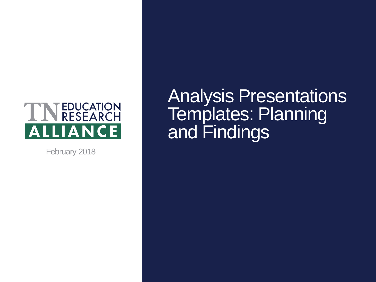#### TINEDUCATION **ALLIANCE**

February 2018

Analysis Presentations Templates: Planning and Findings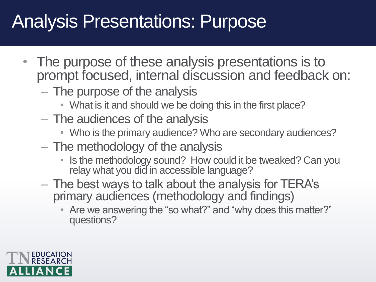#### Analysis Presentations: Purpose

- The purpose of these analysis presentations is to prompt focused, internal discussion and feedback on:
	- The purpose of the analysis
		- What is it and should we be doing this in the first place?
	- The audiences of the analysis
		- Who is the primary audience? Who are secondary audiences?
	- The methodology of the analysis
		- Is the methodology sound? How could it be tweaked? Can you relay what you did in accessible language?
	- The best ways to talk about the analysis for TERA's primary audiences (methodology and findings)
		- Are we answering the "so what?" and "why does this matter?" questions?

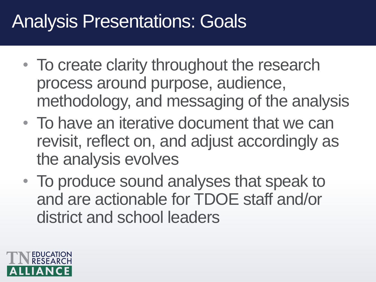#### Analysis Presentations: Goals

- To create clarity throughout the research process around purpose, audience, methodology, and messaging of the analysis
- To have an iterative document that we can revisit, reflect on, and adjust accordingly as the analysis evolves
- To produce sound analyses that speak to and are actionable for TDOE staff and/or district and school leaders

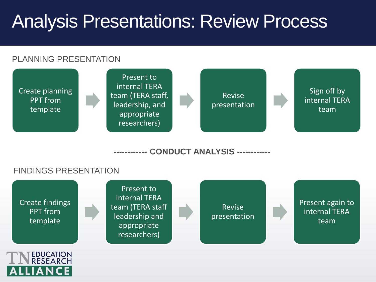#### Analysis Presentations: Review Process

#### PLANNING PRESENTATION



**------------ CONDUCT ANALYSIS ------------**

#### FINDINGS PRESENTATION

IANCE

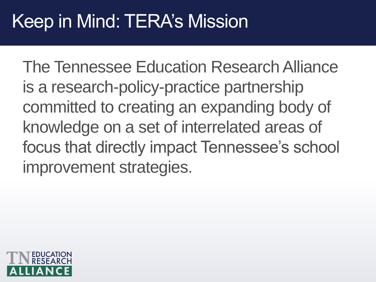#### Keep in Mind: TERA's Mission

The Tennessee Education Research Alliance is a research-policy-practice partnership committed to creating an expanding body of knowledge on a set of interrelated areas of focus that directly impact Tennessee's school improvement strategies.

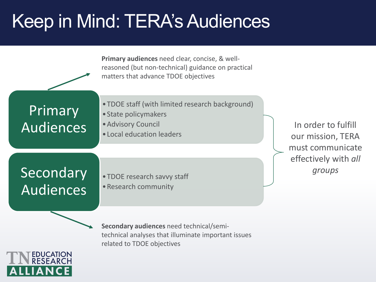# Keep in Mind: TERA's Audiences

|                               | Primary audiences need clear, concise, & well-<br>reasoned (but non-technical) guidance on practical<br>matters that advance TDOE objectives |                        |
|-------------------------------|----------------------------------------------------------------------------------------------------------------------------------------------|------------------------|
| Primary<br>Audiences          | • TDOE staff (with limited research background)<br>• State policymakers<br>· Advisory Council<br>• Local education leaders                   | In <sub>c</sub><br>our |
|                               |                                                                                                                                              | must<br>effe           |
| Secondary<br><b>Audiences</b> | • TDOE research savvy staff<br>• Research community                                                                                          |                        |

order to fulfill mission, TERA t communicate ctively with *all groups*

**Secondary audiences** need technical/semitechnical analyses that illuminate important issues related to TDOE objectives

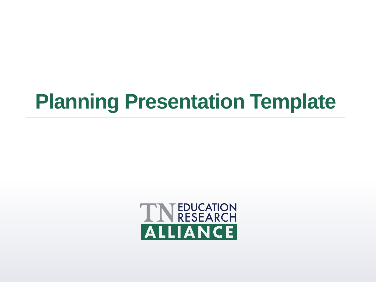# **Planning Presentation Template**

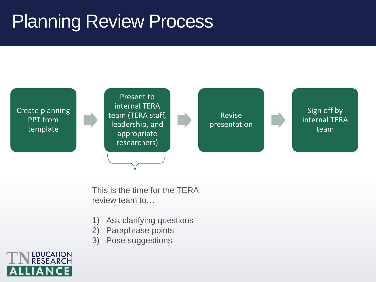#### Planning Review Process



This is the time for the TERA review team to…

- 1) Ask clarifying questions
- 2) Paraphrase points
- 3) Pose suggestions

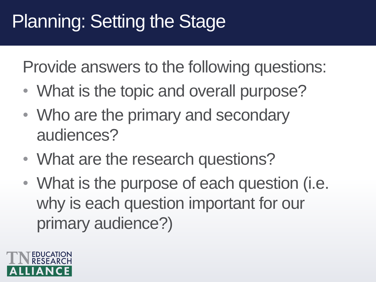## Planning: Setting the Stage

- What is the topic and overall purpose?
- Who are the primary and secondary audiences?
- What are the research questions?
- What is the purpose of each question (i.e. why is each question important for our primary audience?)

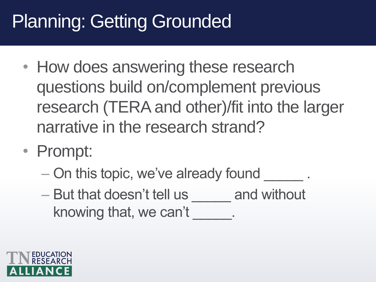# Planning: Getting Grounded

- How does answering these research questions build on/complement previous research (TERA and other)/fit into the larger narrative in the research strand?
- Prompt:
	- On this topic, we've already found  $\qquad \qquad$ .
	- But that doesn't tell us and without knowing that, we can't

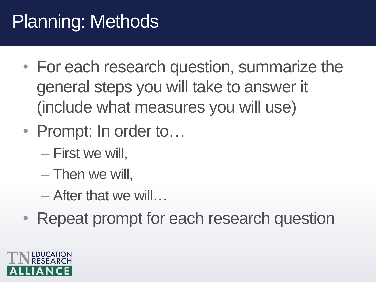## Planning: Methods

- For each research question, summarize the general steps you will take to answer it (include what measures you will use)
- Prompt: In order to...
	- First we will,
	- Then we will,
	- After that we will…
- Repeat prompt for each research question

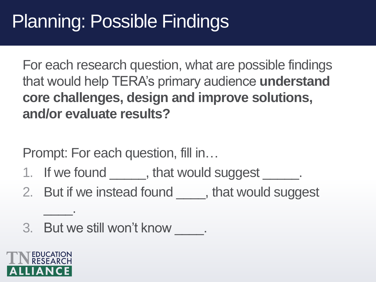#### Planning: Possible Findings

For each research question, what are possible findings that would help TERA's primary audience **understand core challenges, design and improve solutions, and/or evaluate results?**

Prompt: For each question, fill in…

- 1. If we found \_\_\_\_\_, that would suggest \_\_\_\_\_.
- 2. But if we instead found <u>equility</u>, that would suggest
- 3. But we still won't know  $\qquad$ .



\_\_\_\_.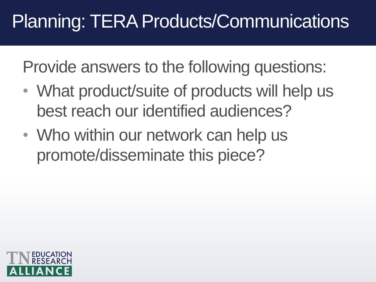# Planning: TERA Products/Communications

- What product/suite of products will help us best reach our identified audiences?
- Who within our network can help us promote/disseminate this piece?

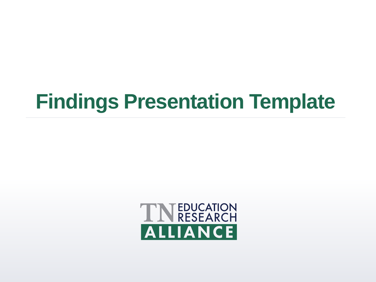# **Findings Presentation Template**

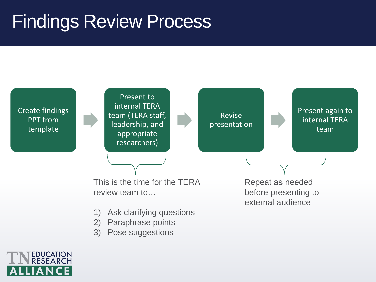#### Findings Review Process

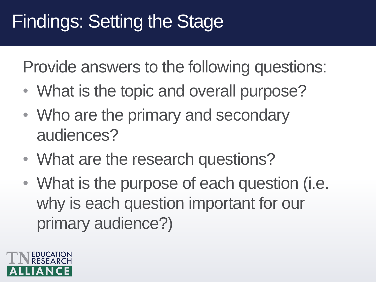# Findings: Setting the Stage

- What is the topic and overall purpose?
- Who are the primary and secondary audiences?
- What are the research questions?
- What is the purpose of each question (i.e. why is each question important for our primary audience?)

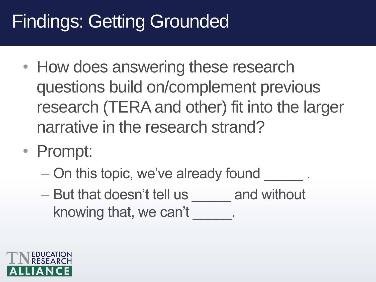# Findings: Getting Grounded

- How does answering these research questions build on/complement previous research (TERA and other) fit into the larger narrative in the research strand?
- Prompt:
	- On this topic, we've already found  $\qquad \qquad$ .
	- But that doesn't tell us and without knowing that, we can't

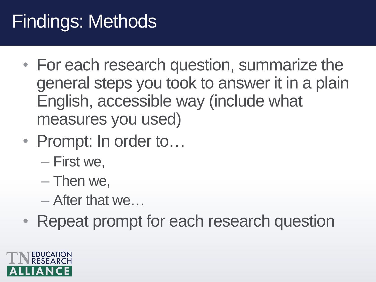# Findings: Methods

- For each research question, summarize the general steps you took to answer it in a plain English, accessible way (include what measures you used)
- Prompt: In order to...
	- First we,
	- Then we,
	- After that we…
- Repeat prompt for each research question

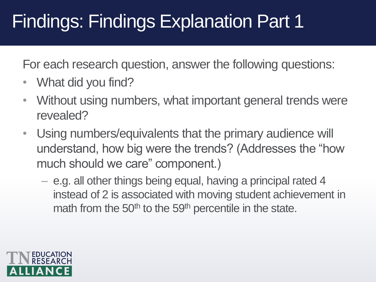## Findings: Findings Explanation Part 1

For each research question, answer the following questions:

- What did you find?
- Without using numbers, what important general trends were revealed?
- Using numbers/equivalents that the primary audience will understand, how big were the trends? (Addresses the "how much should we care" component.)
	- e.g. all other things being equal, having a principal rated 4 instead of 2 is associated with moving student achievement in math from the 50<sup>th</sup> to the 59<sup>th</sup> percentile in the state.

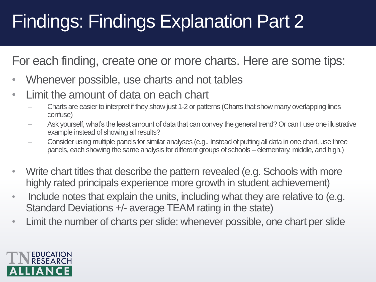# Findings: Findings Explanation Part 2

For each finding, create one or more charts. Here are some tips:

- Whenever possible, use charts and not tables
- Limit the amount of data on each chart
	- Charts are easier to interpret if they show just 1-2 or patterns (Charts that show many overlapping lines confuse)
	- Ask yourself, what's the least amount of data that can convey the general trend? Or can I use one illustrative example instead of showing all results?
	- Consider using multiple panels for similar analyses (e.g.. Instead of putting all data in one chart, use three panels, each showing the same analysis for different groups of schools – elementary, middle, and high.)
- Write chart titles that describe the pattern revealed (e.g. Schools with more highly rated principals experience more growth in student achievement)
- Include notes that explain the units, including what they are relative to (e.g. Standard Deviations +/- average TEAM rating in the state)
- Limit the number of charts per slide: whenever possible, one chart per slide

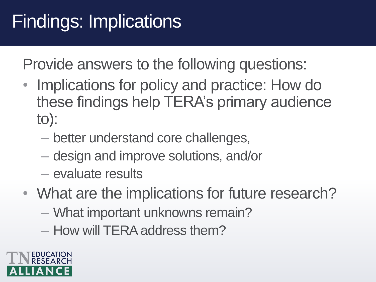# Findings: Implications

- Implications for policy and practice: How do these findings help TERA's primary audience to):
	- better understand core challenges,
	- design and improve solutions, and/or
	- evaluate results
- What are the implications for future research?
	- What important unknowns remain?
	- How will TERA address them?